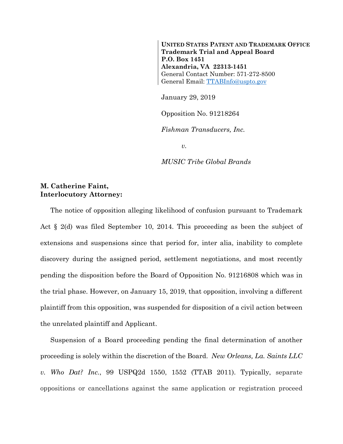**UNITED STATES PATENT AND TRADEMARK OFFICE Trademark Trial and Appeal Board P.O. Box 1451 Alexandria, VA 22313-1451**  General Contact Number: 571-272-8500 General Email: TTABInfo@uspto.gov

January 29, 2019

Opposition No. 91218264

*Fishman Transducers, Inc.* 

*v.* 

*MUSIC Tribe Global Brands* 

## **M. Catherine Faint, Interlocutory Attorney:**

The notice of opposition alleging likelihood of confusion pursuant to Trademark Act  $\S$  2(d) was filed September 10, 2014. This proceeding as been the subject of extensions and suspensions since that period for, inter alia, inability to complete discovery during the assigned period, settlement negotiations, and most recently pending the disposition before the Board of Opposition No. 91216808 which was in the trial phase. However, on January 15, 2019, that opposition, involving a different plaintiff from this opposition, was suspended for disposition of a civil action between the unrelated plaintiff and Applicant.

Suspension of a Board proceeding pending the final determination of another proceeding is solely within the discretion of the Board. *New Orleans, La. Saints LLC v. Who Dat? Inc.*, 99 USPQ2d 1550, 1552 (TTAB 2011). Typically, separate oppositions or cancellations against the same application or registration proceed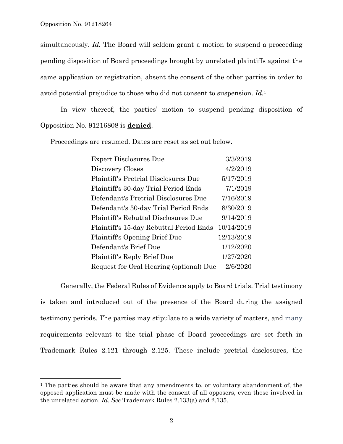l

simultaneously. *Id.* The Board will seldom grant a motion to suspend a proceeding pending disposition of Board proceedings brought by unrelated plaintiffs against the same application or registration, absent the consent of the other parties in order to avoid potential prejudice to those who did not consent to suspension. *Id.*1

 In view thereof, the parties' motion to suspend pending disposition of Opposition No. 91216808 is **denied**.

Proceedings are resumed. Dates are reset as set out below.

| <b>Expert Disclosures Due</b>               | 3/3/2019   |
|---------------------------------------------|------------|
| Discovery Closes                            | 4/2/2019   |
| <b>Plaintiff's Pretrial Disclosures Due</b> | 5/17/2019  |
| Plaintiff's 30-day Trial Period Ends        | 7/1/2019   |
| Defendant's Pretrial Disclosures Due        | 7/16/2019  |
| Defendant's 30-day Trial Period Ends        | 8/30/2019  |
| Plaintiff's Rebuttal Disclosures Due        | 9/14/2019  |
| Plaintiff's 15-day Rebuttal Period Ends     | 10/14/2019 |
| Plaintiff's Opening Brief Due               | 12/13/2019 |
| Defendant's Brief Due                       | 1/12/2020  |
| Plaintiff's Reply Brief Due                 | 1/27/2020  |
| Request for Oral Hearing (optional) Due     | 2/6/2020   |

Generally, the Federal Rules of Evidence apply to Board trials. Trial testimony is taken and introduced out of the presence of the Board during the assigned testimony periods. The parties may stipulate to a wide variety of matters, and many requirements relevant to the trial phase of Board proceedings are set forth in Trademark Rules 2.121 through 2.125. These include pretrial disclosures, the

<sup>&</sup>lt;sup>1</sup> The parties should be aware that any amendments to, or voluntary abandonment of, the opposed application must be made with the consent of all opposers, even those involved in the unrelated action. *Id. See* Trademark Rules 2.133(a) and 2.135.